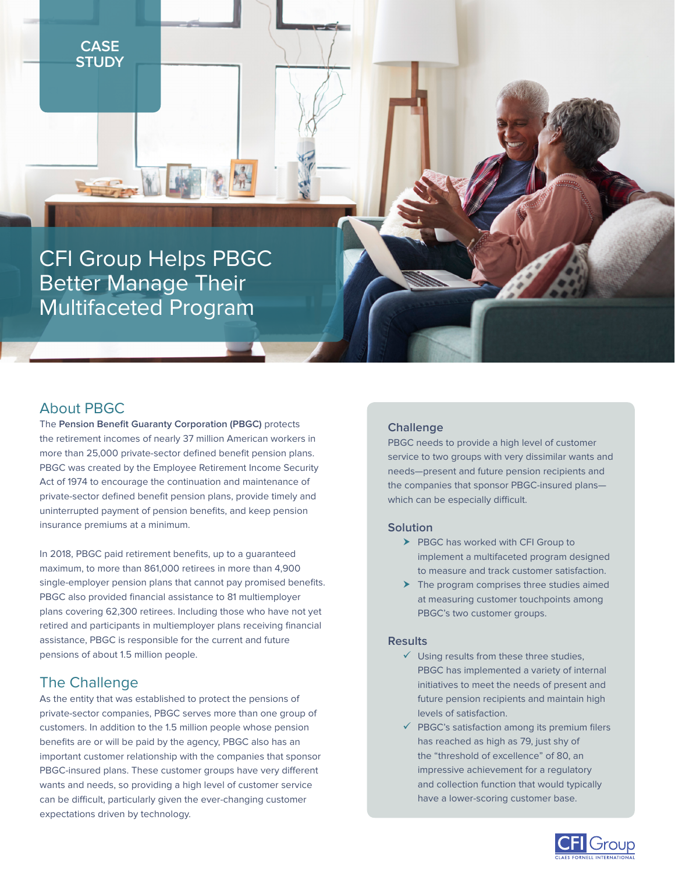**REGION** 

CFI Group Helps PBGC Better Manage Their Multifaceted Program

## About PBGC

The **Pension Benefit Guaranty Corporation (PBGC)** protects the retirement incomes of nearly 37 million American workers in more than 25,000 private-sector defined benefit pension plans. PBGC was created by the Employee Retirement Income Security Act of 1974 to encourage the continuation and maintenance of private-sector defined benefit pension plans, provide timely and uninterrupted payment of pension benefits, and keep pension insurance premiums at a minimum.

In 2018, PBGC paid retirement benefits, up to a guaranteed maximum, to more than 861,000 retirees in more than 4,900 single-employer pension plans that cannot pay promised benefits. PBGC also provided financial assistance to 81 multiemployer plans covering 62,300 retirees. Including those who have not yet retired and participants in multiemployer plans receiving financial assistance, PBGC is responsible for the current and future pensions of about 1.5 million people.

## The Challenge

As the entity that was established to protect the pensions of private-sector companies, PBGC serves more than one group of customers. In addition to the 1.5 million people whose pension benefits are or will be paid by the agency, PBGC also has an important customer relationship with the companies that sponsor PBGC-insured plans. These customer groups have very different wants and needs, so providing a high level of customer service can be difficult, particularly given the ever-changing customer expectations driven by technology.

### **Challenge**

PBGC needs to provide a high level of customer service to two groups with very dissimilar wants and needs—present and future pension recipients and the companies that sponsor PBGC-insured plans which can be especially difficult.

#### **Solution**

- $\blacktriangleright$  PBGC has worked with CFI Group to implement a multifaceted program designed to measure and track customer satisfaction.
- $\blacktriangleright$  The program comprises three studies aimed at measuring customer touchpoints among PBGC's two customer groups.

#### **Results**

- $\checkmark$  Using results from these three studies, PBGC has implemented a variety of internal initiatives to meet the needs of present and future pension recipients and maintain high levels of satisfaction.
- $\checkmark$  PBGC's satisfaction among its premium filers has reached as high as 79, just shy of the "threshold of excellence" of 80, an impressive achievement for a regulatory and collection function that would typically have a lower-scoring customer base.